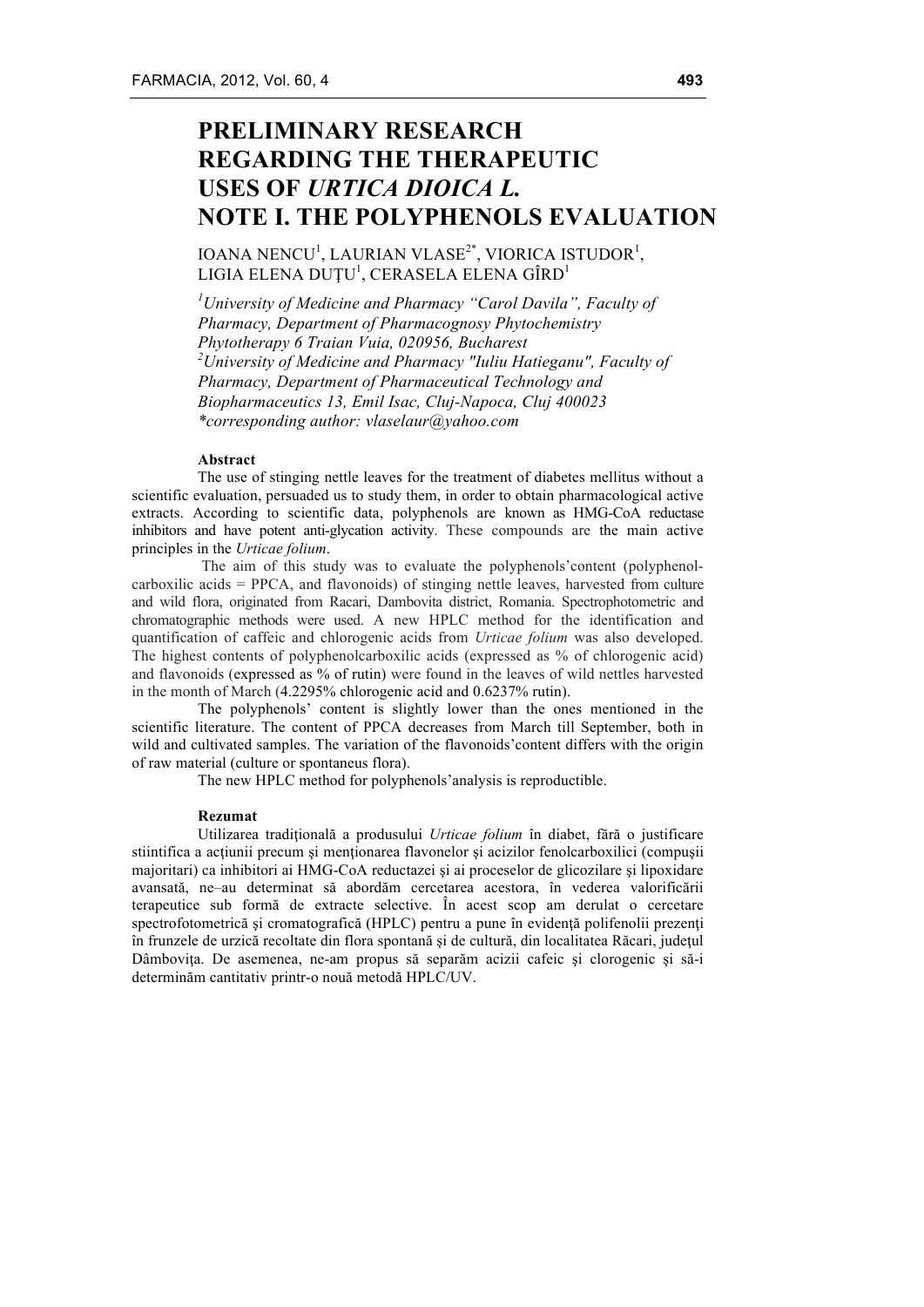# **PRELIMINARY RESEARCH REGARDING THE THERAPEUTIC USES OF** *URTICA DIOICA L.* **NOTE I. THE POLYPHENOLS EVALUATION**

# IOANA NENCU<sup>1</sup>, LAURIAN VLASE<sup>2\*</sup>, VIORICA ISTUDOR<sup>1</sup>, LIGIA ELENA DUȚU $^{\rm l}$ , CERASELA ELENA GÎRD $^{\rm l}$

*1 University of Medicine and Pharmacy "Carol Davila", Faculty of Pharmacy, Department of Pharmacognosy Phytochemistry Phytotherapy 6 Traian Vuia, 020956, Bucharest 2 University of Medicine and Pharmacy "Iuliu Hatieganu", Faculty of Pharmacy, Department of Pharmaceutical Technology and Biopharmaceutics 13, Emil Isac, Cluj-Napoca, Cluj 400023 \*corresponding author: vlaselaur@yahoo.com*

#### **Abstract**

The use of stinging nettle leaves for the treatment of diabetes mellitus without a scientific evaluation, persuaded us to study them, in order to obtain pharmacological active extracts. According to scientific data, polyphenols are known as HMG-CoA reductase inhibitors and have potent anti-glycation activity. These compounds are the main active principles in the *Urticae folium*.

The aim of this study was to evaluate the polyphenols'content (polyphenolcarboxilic acids  $=$  PPCA, and flavonoids) of stinging nettle leaves, harvested from culture and wild flora, originated from Racari, Dambovita district, Romania. Spectrophotometric and chromatographic methods were used. A new HPLC method for the identification and quantification of caffeic and chlorogenic acids from *Urticae folium* was also developed. The highest contents of polyphenolcarboxilic acids (expressed as % of chlorogenic acid) and flavonoids (expressed as % of rutin) were found in the leaves of wild nettles harvested in the month of March (4.2295% chlorogenic acid and 0.6237% rutin).

The polyphenols' content is slightly lower than the ones mentioned in the scientific literature. The content of PPCA decreases from March till September, both in wild and cultivated samples. The variation of the flavonoids'content differs with the origin of raw material (culture or spontaneus flora).

The new HPLC method for polyphenols'analysis is reproductible.

#### **Rezumat**

Utilizarea tradiţională a produsului *Urticae folium* în diabet, fără o justificare stiintifica a acţiunii precum şi menţionarea flavonelor şi acizilor fenolcarboxilici (compuşii majoritari) ca inhibitori ai HMG-CoA reductazei şi ai proceselor de glicozilare şi lipoxidare avansată, ne–au determinat să abordăm cercetarea acestora, în vederea valorificării terapeutice sub formă de extracte selective. În acest scop am derulat o cercetare spectrofotometrică și cromatografică (HPLC) pentru a pune în evidență polifenolii prezenți în frunzele de urzică recoltate din flora spontană şi de cultură, din localitatea Răcari, judeţul Dâmboviţa. De asemenea, ne-am propus să separăm acizii cafeic şi clorogenic şi să-i determinăm cantitativ printr-o nouă metodă HPLC/UV.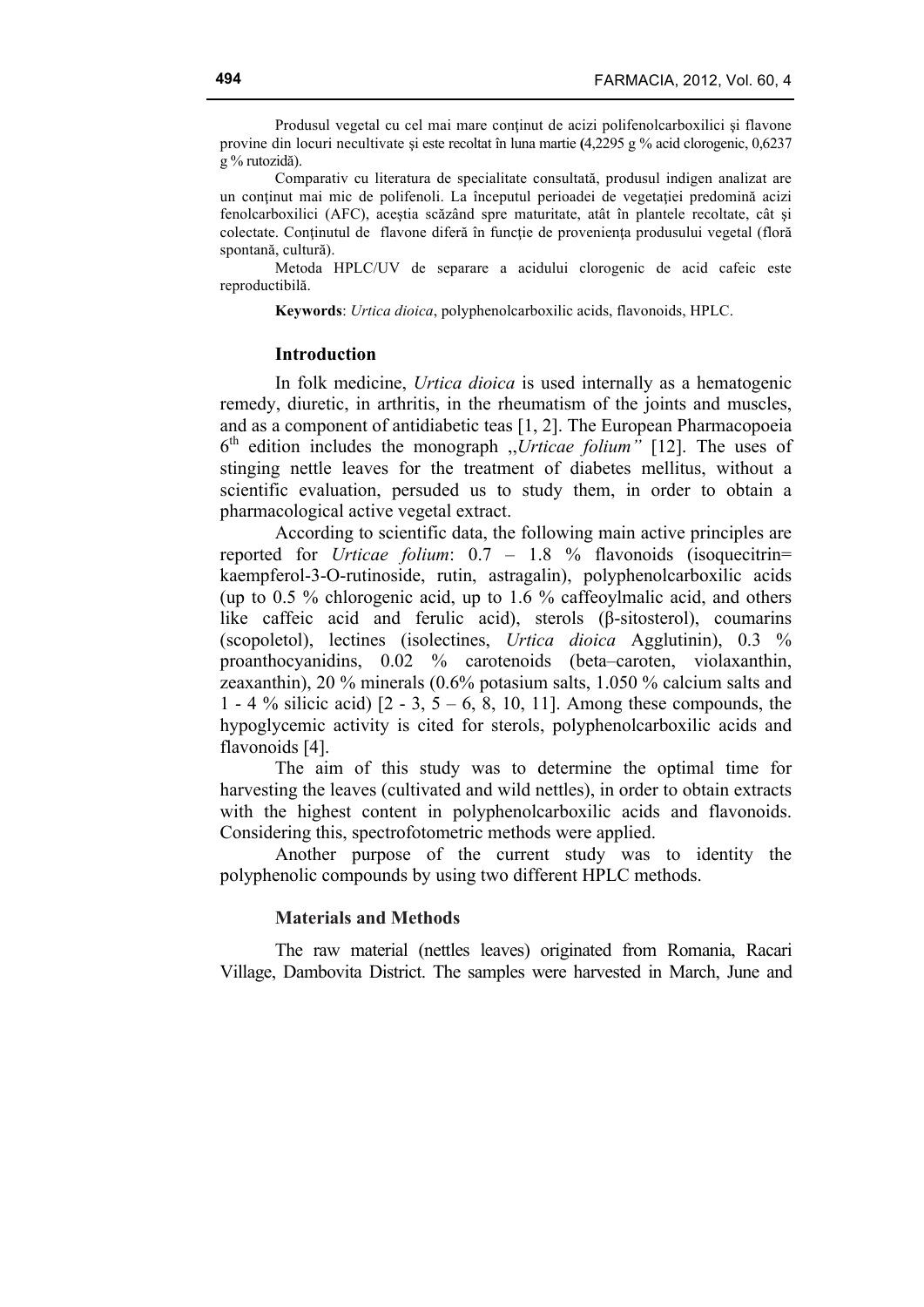Produsul vegetal cu cel mai mare conţinut de acizi polifenolcarboxilici şi flavone provine din locuri necultivate şi este recoltat în luna martie **(**4,2295 g % acid clorogenic, 0,6237 g % rutozidă).

Comparativ cu literatura de specialitate consultată, produsul indigen analizat are un conţinut mai mic de polifenoli. La începutul perioadei de vegetaţiei predomină acizi fenolcarboxilici (AFC), aceştia scăzând spre maturitate, atât în plantele recoltate, cât şi colectate. Conținutul de flavone diferă în funcție de proveniența produsului vegetal (floră spontană, cultură).

Metoda HPLC/UV de separare a acidului clorogenic de acid cafeic este reproductibilă.

**Keywords**: *Urtica dioica*, polyphenolcarboxilic acids, flavonoids, HPLC.

## **Introduction**

In folk medicine, *Urtica dioica* is used internally as a hematogenic remedy, diuretic, in arthritis, in the rheumatism of the joints and muscles, and as a component of antidiabetic teas [1, 2]. The European Pharmacopoeia 6th edition includes the monograph ,,*Urticae folium"* [12]. The uses of stinging nettle leaves for the treatment of diabetes mellitus, without a scientific evaluation, persuded us to study them, in order to obtain a pharmacological active vegetal extract.

According to scientific data, the following main active principles are reported for *Urticae folium*: 0.7 – 1.8 % flavonoids (isoquecitrin= kaempferol-3-O-rutinoside, rutin, astragalin), polyphenolcarboxilic acids (up to 0.5 % chlorogenic acid, up to 1.6 % caffeoylmalic acid, and others like caffeic acid and ferulic acid), sterols (β-sitosterol), coumarins (scopoletol), lectines (isolectines, *Urtica dioica* Agglutinin), 0.3 % proanthocyanidins, 0.02 % carotenoids (beta–caroten, violaxanthin, zeaxanthin), 20 % minerals (0.6% potasium salts, 1.050 % calcium salts and 1 - 4 % silicic acid)  $[2 - 3, 5 - 6, 8, 10, 11]$ . Among these compounds, the hypoglycemic activity is cited for sterols, polyphenolcarboxilic acids and flavonoids [4].

The aim of this study was to determine the optimal time for harvesting the leaves (cultivated and wild nettles), in order to obtain extracts with the highest content in polyphenolcarboxilic acids and flavonoids. Considering this, spectrofotometric methods were applied.

Another purpose of the current study was to identity the polyphenolic compounds by using two different HPLC methods.

#### **Materials and Methods**

The raw material (nettles leaves) originated from Romania, Racari Village, Dambovita District. The samples were harvested in March, June and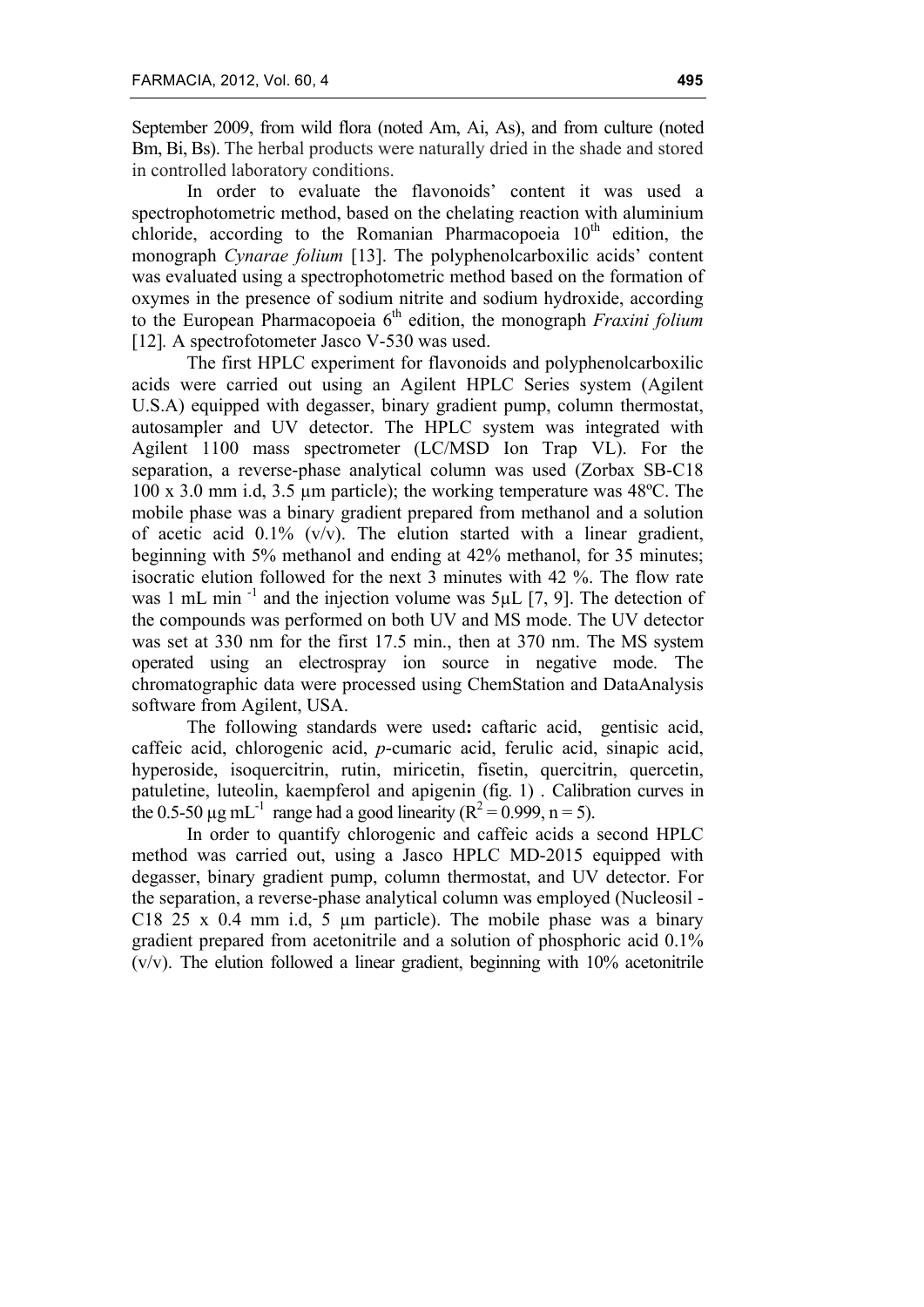September 2009, from wild flora (noted Am, Ai, As), and from culture (noted Bm, Bi, Bs). The herbal products were naturally dried in the shade and stored in controlled laboratory conditions.

In order to evaluate the flavonoids' content it was used a spectrophotometric method, based on the chelating reaction with aluminium chloride, according to the Romanian Pharmacopoeia  $10<sup>th</sup>$  edition, the monograph *Cynarae folium* [13]. The polyphenolcarboxilic acids' content was evaluated using a spectrophotometric method based on the formation of oxymes in the presence of sodium nitrite and sodium hydroxide, according to the European Pharmacopoeia 6<sup>th</sup> edition, the monograph *Fraxini folium* [12]. A spectrofotometer Jasco V-530 was used.

The first HPLC experiment for flavonoids and polyphenolcarboxilic acids were carried out using an Agilent HPLC Series system (Agilent U.S.A) equipped with degasser, binary gradient pump, column thermostat, autosampler and UV detector. The HPLC system was integrated with Agilent 1100 mass spectrometer (LC/MSD Ion Trap VL). For the separation, a reverse-phase analytical column was used (Zorbax SB-C18 100 x 3.0 mm i.d, 3.5 µm particle); the working temperature was 48ºC. The mobile phase was a binary gradient prepared from methanol and a solution of acetic acid  $0.1\%$  (v/v). The elution started with a linear gradient, beginning with 5% methanol and ending at 42% methanol, for 35 minutes; isocratic elution followed for the next 3 minutes with 42 %. The flow rate was 1 mL min<sup>-1</sup> and the injection volume was  $5\mu$ L [7, 9]. The detection of the compounds was performed on both UV and MS mode. The UV detector was set at 330 nm for the first 17.5 min., then at 370 nm. The MS system operated using an electrospray ion source in negative mode. The chromatographic data were processed using ChemStation and DataAnalysis software from Agilent, USA.

The following standards were used**:** caftaric acid, gentisic acid, caffeic acid, chlorogenic acid, *p*-cumaric acid, ferulic acid, sinapic acid, hyperoside, isoquercitrin, rutin, miricetin, fisetin, quercitrin, quercetin, patuletine, luteolin, kaempferol and apigenin (fig. 1) . Calibration curves in the 0.5-50  $\mu$ g mL<sup>-1</sup> range had a good linearity (R<sup>2</sup> = 0.999, n = 5).

In order to quantify chlorogenic and caffeic acids a second HPLC method was carried out, using a Jasco HPLC MD-2015 equipped with degasser, binary gradient pump, column thermostat, and UV detector. For the separation, a reverse-phase analytical column was employed (Nucleosil - C18 25 x 0.4 mm i.d, 5 µm particle). The mobile phase was a binary gradient prepared from acetonitrile and a solution of phosphoric acid 0.1%  $(v/v)$ . The elution followed a linear gradient, beginning with  $10\%$  acetonitrile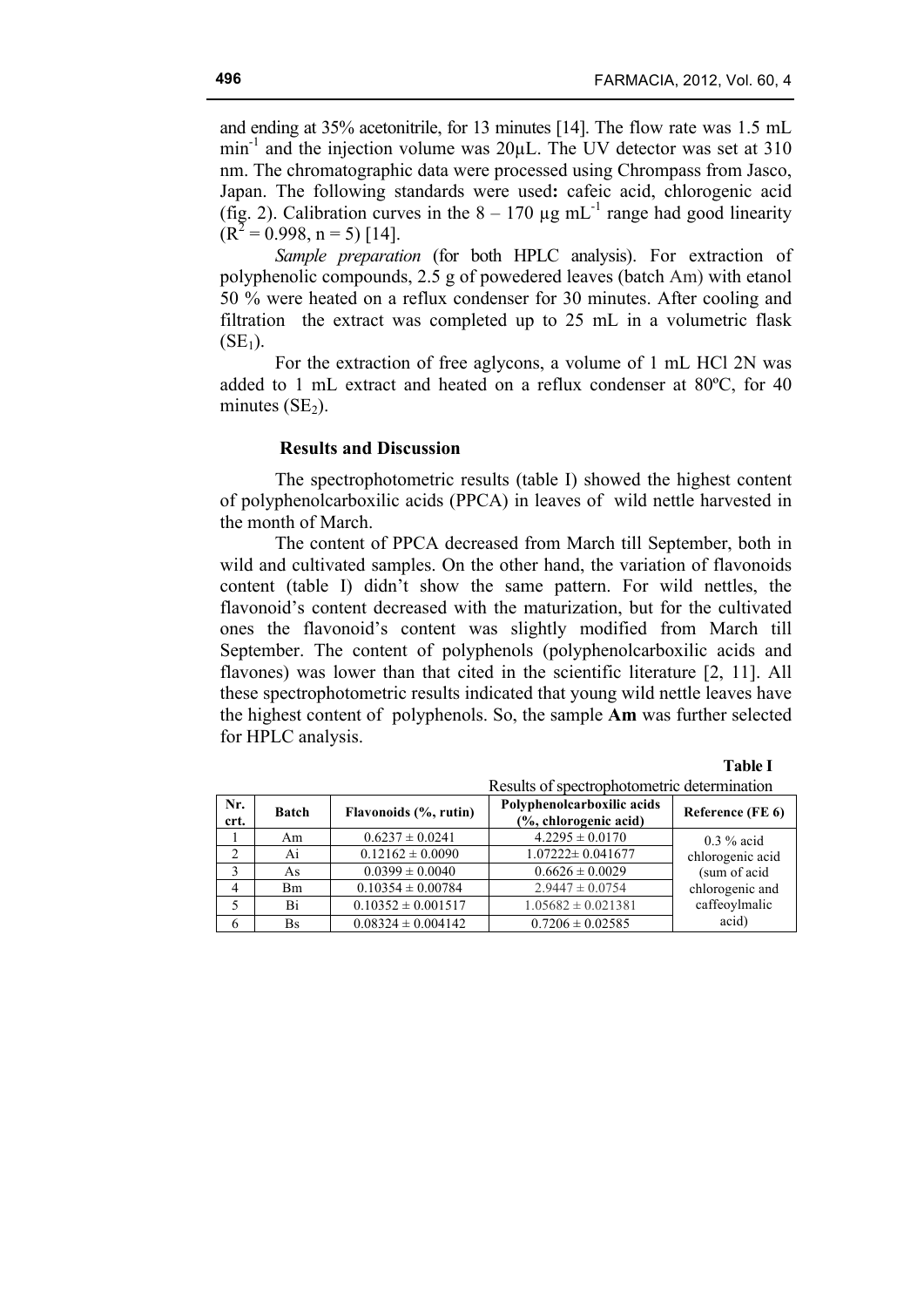and ending at 35% acetonitrile, for 13 minutes [14]. The flow rate was 1.5 mL  $min^{-1}$  and the injection volume was  $20\mu$ L. The UV detector was set at 310 nm. The chromatographic data were processed using Chrompass from Jasco, Japan. The following standards were used**:** cafeic acid, chlorogenic acid (fig. 2). Calibration curves in the  $8 - 170$  ug mL<sup>-1</sup> range had good linearity  $(R^{2} = 0.998, n = 5)$  [14].

*Sample preparation* (for both HPLC analysis). For extraction of polyphenolic compounds, 2.5 g of powedered leaves (batch Am) with etanol 50 % were heated on a reflux condenser for 30 minutes. After cooling and filtration the extract was completed up to 25 mL in a volumetric flask  $(SE<sub>1</sub>)$ .

For the extraction of free aglycons, a volume of 1 mL HCl 2N was added to 1 mL extract and heated on a reflux condenser at 80ºC, for 40 minutes  $(SE<sub>2</sub>)$ .

## **Results and Discussion**

The spectrophotometric results (table I) showed the highest content of polyphenolcarboxilic acids (PPCA) in leaves of wild nettle harvested in the month of March.

The content of PPCA decreased from March till September, both in wild and cultivated samples. On the other hand, the variation of flavonoids content (table I) didn't show the same pattern. For wild nettles, the flavonoid's content decreased with the maturization, but for the cultivated ones the flavonoid's content was slightly modified from March till September. The content of polyphenols (polyphenolcarboxilic acids and flavones) was lower than that cited in the scientific literature [2, 11]. All these spectrophotometric results indicated that young wild nettle leaves have the highest content of polyphenols. So, the sample **Am** was further selected for HPLC analysis.

| Nr.<br>crt.   | <b>Batch</b> | Flavonoids (%, rutin)  | Polyphenolcarboxilic acids<br>(%, chlorogenic acid) | Reference (FE 6) |
|---------------|--------------|------------------------|-----------------------------------------------------|------------------|
|               | Am           | $0.6237 \pm 0.0241$    | $4.2295 \pm 0.0170$                                 | $0.3\%$ acid     |
| $\mathcal{D}$ | Ai           | $0.12162 \pm 0.0090$   | $1.07222 \pm 0.041677$                              | chlorogenic acid |
|               | As           | $0.0399 \pm 0.0040$    | $0.6626 \pm 0.0029$                                 | (sum of acid     |
|               | <b>Bm</b>    | $0.10354 \pm 0.00784$  | $2.9447 \pm 0.0754$                                 | chlorogenic and  |
|               | Bi           | $0.10352 \pm 0.001517$ | $1.05682 \pm 0.021381$                              | caffeoylmalic    |
| 6             | <b>Bs</b>    | $0.08324 \pm 0.004142$ | $0.7206 \pm 0.02585$                                | acid)            |

Results of spectrophotometric determination

**Table I**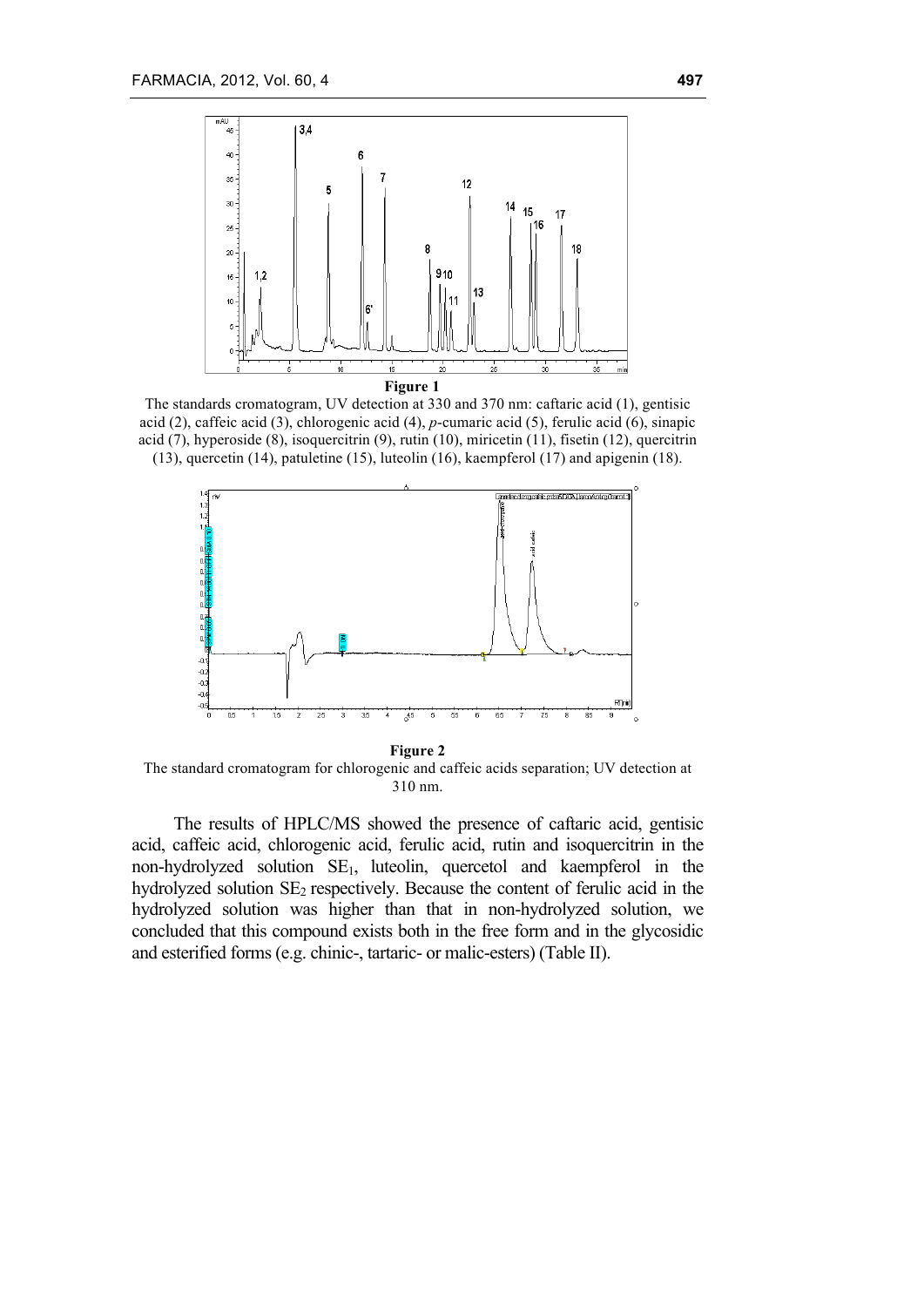

**Figure 1**

The standards cromatogram, UV detection at 330 and 370 nm: caftaric acid (1), gentisic acid (2), caffeic acid (3), chlorogenic acid (4), *p*-cumaric acid (5), ferulic acid (6), sinapic acid (7), hyperoside (8), isoquercitrin (9), rutin (10), miricetin (11), fisetin (12), quercitrin (13), quercetin (14), patuletine (15), luteolin (16), kaempferol (17) and apigenin (18).



**Figure 2** The standard cromatogram for chlorogenic and caffeic acids separation; UV detection at 310 nm.

The results of HPLC/MS showed the presence of caftaric acid, gentisic acid, caffeic acid, chlorogenic acid, ferulic acid, rutin and isoquercitrin in the non-hydrolyzed solution SE1, luteolin, quercetol and kaempferol in the hydrolyzed solution  $SE_2$  respectively. Because the content of ferulic acid in the hydrolyzed solution was higher than that in non-hydrolyzed solution, we concluded that this compound exists both in the free form and in the glycosidic and esterified forms (e.g. chinic-, tartaric- or malic-esters) (Table II).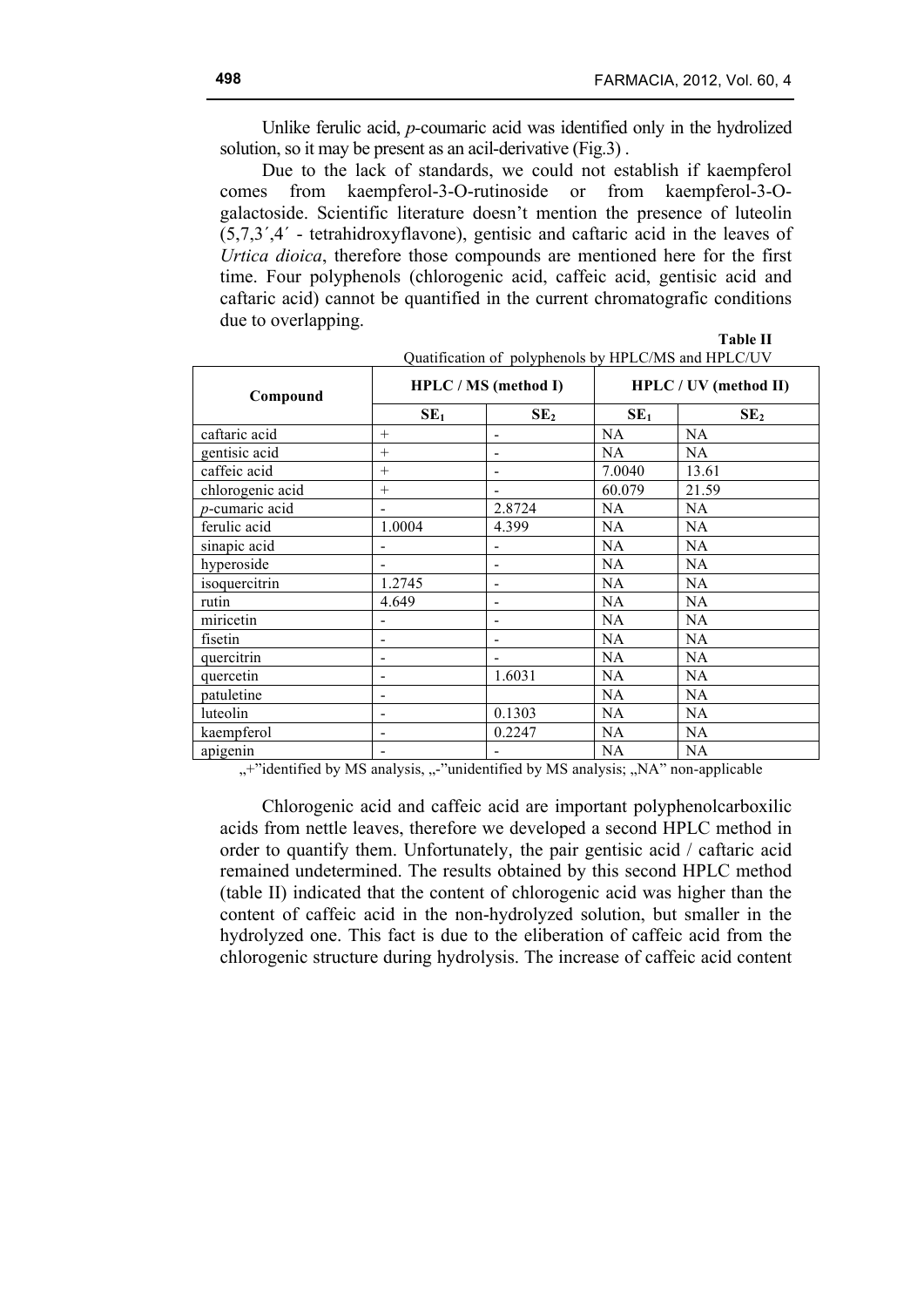Unlike ferulic acid, *p-*coumaric acid was identified only in the hydrolized solution, so it may be present as an acil-derivative (Fig.3) .

Due to the lack of standards, we could not establish if kaempferol comes from kaempferol-3-O-rutinoside or from kaempferol-3-Ogalactoside. Scientific literature doesn't mention the presence of luteolin (5,7,3´,4´ - tetrahidroxyflavone), gentisic and caftaric acid in the leaves of *Urtica dioica*, therefore those compounds are mentioned here for the first time. Four polyphenols (chlorogenic acid, caffeic acid, gentisic acid and caftaric acid) cannot be quantified in the current chromatografic conditions due to overlapping.

| Compound               | <b>HPLC</b> / MS (method I)  |                 | <b>HPLC</b> / UV (method II) |                 |
|------------------------|------------------------------|-----------------|------------------------------|-----------------|
|                        | SE <sub>1</sub>              | SE <sub>2</sub> | SE <sub>1</sub>              | SE <sub>2</sub> |
| caftaric acid          | $^{+}$                       | -               | NA                           | <b>NA</b>       |
| gentisic acid          | $^{+}$                       | -               | <b>NA</b>                    | NA              |
| caffeic acid           | $+$                          | -               | 7.0040                       | 13.61           |
| chlorogenic acid       | $^{+}$                       |                 | 60.079                       | 21.59           |
| <i>p</i> -cumaric acid |                              | 2.8724          | NA                           | <b>NA</b>       |
| ferulic acid           | 1.0004                       | 4.399           | NA                           | NA              |
| sinapic acid           | -                            | $\overline{a}$  | <b>NA</b>                    | <b>NA</b>       |
| hyperoside             |                              |                 | <b>NA</b>                    | <b>NA</b>       |
| isoquercitrin          | 1.2745                       | -               | <b>NA</b>                    | <b>NA</b>       |
| rutin                  | 4.649                        |                 | <b>NA</b>                    | <b>NA</b>       |
| miricetin              | $\qquad \qquad \blacksquare$ | -               | <b>NA</b>                    | <b>NA</b>       |
| fisetin                |                              |                 | <b>NA</b>                    | NA              |
| quercitrin             | -                            |                 | <b>NA</b>                    | NA              |
| quercetin              |                              | 1.6031          | <b>NA</b>                    | NA              |
| patuletine             | $\overline{\phantom{0}}$     |                 | <b>NA</b>                    | NA              |
| luteolin               |                              | 0.1303          | <b>NA</b>                    | <b>NA</b>       |
| kaempferol             | $\overline{\phantom{0}}$     | 0.2247          | <b>NA</b>                    | NA              |
| apigenin               |                              |                 | NA                           | NA              |

**Table II** Quatification of polyphenols by HPLC/MS and HPLC/UV

..<sup>+"</sup>identified by MS analysis, ..<sup>-"</sup>unidentified by MS analysis; ..NA" non-applicable

Chlorogenic acid and caffeic acid are important polyphenolcarboxilic acids from nettle leaves, therefore we developed a second HPLC method in order to quantify them. Unfortunately, the pair gentisic acid / caftaric acid remained undetermined. The results obtained by this second HPLC method (table II) indicated that the content of chlorogenic acid was higher than the content of caffeic acid in the non-hydrolyzed solution, but smaller in the hydrolyzed one. This fact is due to the eliberation of caffeic acid from the chlorogenic structure during hydrolysis. The increase of caffeic acid content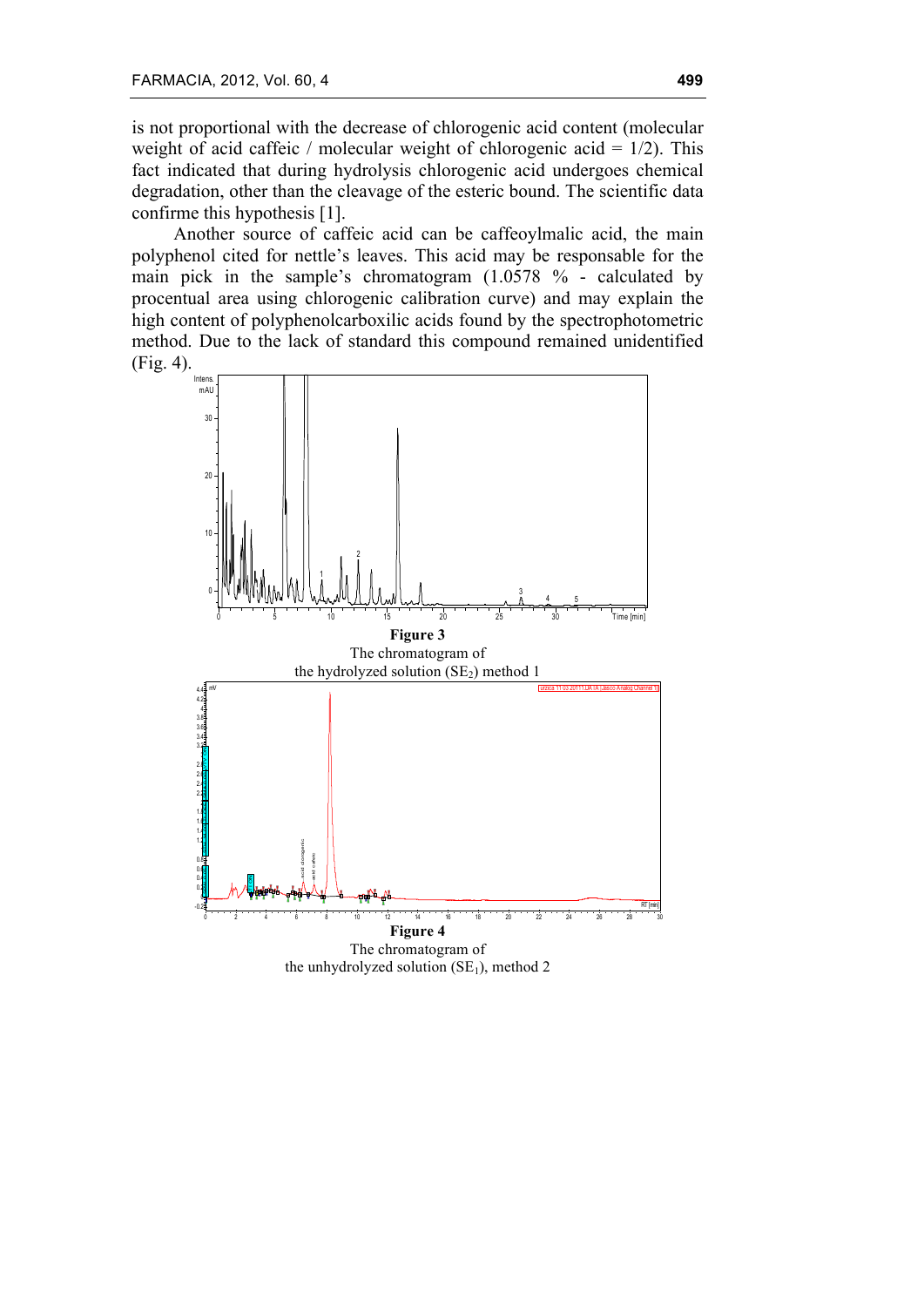is not proportional with the decrease of chlorogenic acid content (molecular weight of acid caffeic / molecular weight of chlorogenic acid =  $1/2$ ). This fact indicated that during hydrolysis chlorogenic acid undergoes chemical degradation, other than the cleavage of the esteric bound. The scientific data confirme this hypothesis [1].

Another source of caffeic acid can be caffeoylmalic acid, the main polyphenol cited for nettle's leaves. This acid may be responsable for the main pick in the sample's chromatogram (1.0578 % - calculated by procentual area using chlorogenic calibration curve) and may explain the high content of polyphenolcarboxilic acids found by the spectrophotometric method. Due to the lack of standard this compound remained unidentified (Fig. 4).